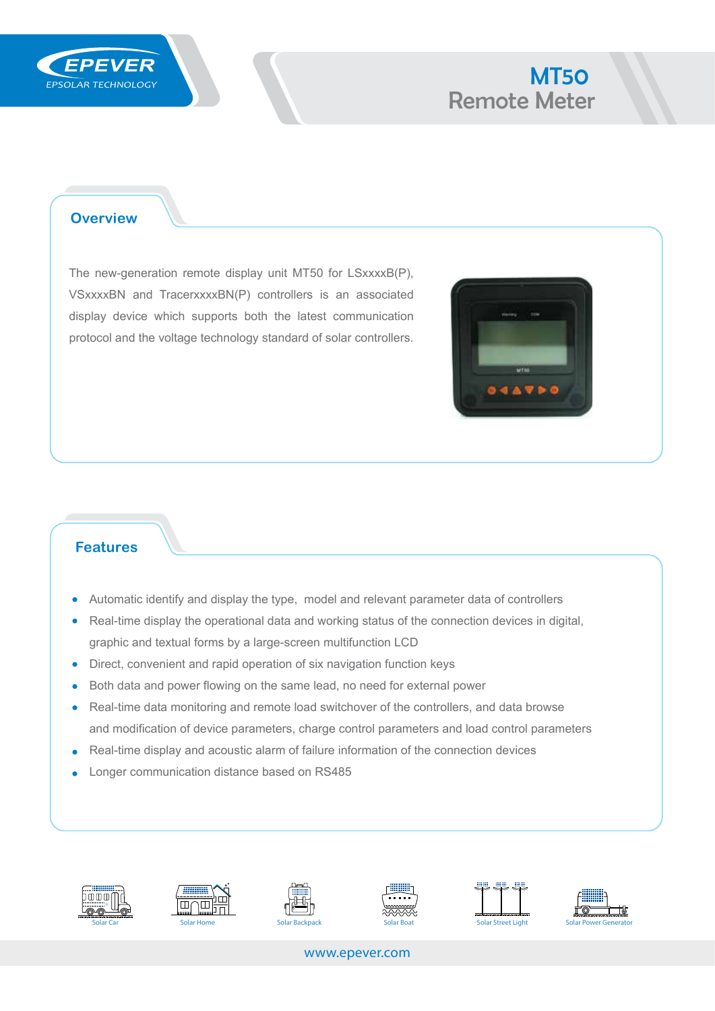

# **EPEVER** MT50 Remote Meter

### **Overview**

The new-generation remote display unit MT50 for LSxxxxB(P), VSxxxxBN and TracerxxxxBN(P) controllers is an associated display device which supports both the latest communication protocol and the voltage technology standard of solar controllers.



#### **Features**

- Automatic identify and display the type, model and relevant parameter data of controllers
- Real-time display the operational data and working status of the connection devices in digital,  $\bullet$ graphic and textual forms by a large-screen multifunction LCD
- Direct, convenient and rapid operation of six navigation function keys  $\bullet$
- Both data and power flowing on the same lead, no need for external power  $\bullet$
- Real-time data monitoring and remote load switchover of the controllers, and data browse  $\bullet$ and modification of device parameters, charge control parameters and load control parameters
- Real-time display and acoustic alarm of failure information of the connection devices
- Longer communication distance based on RS485×













www.epever.com